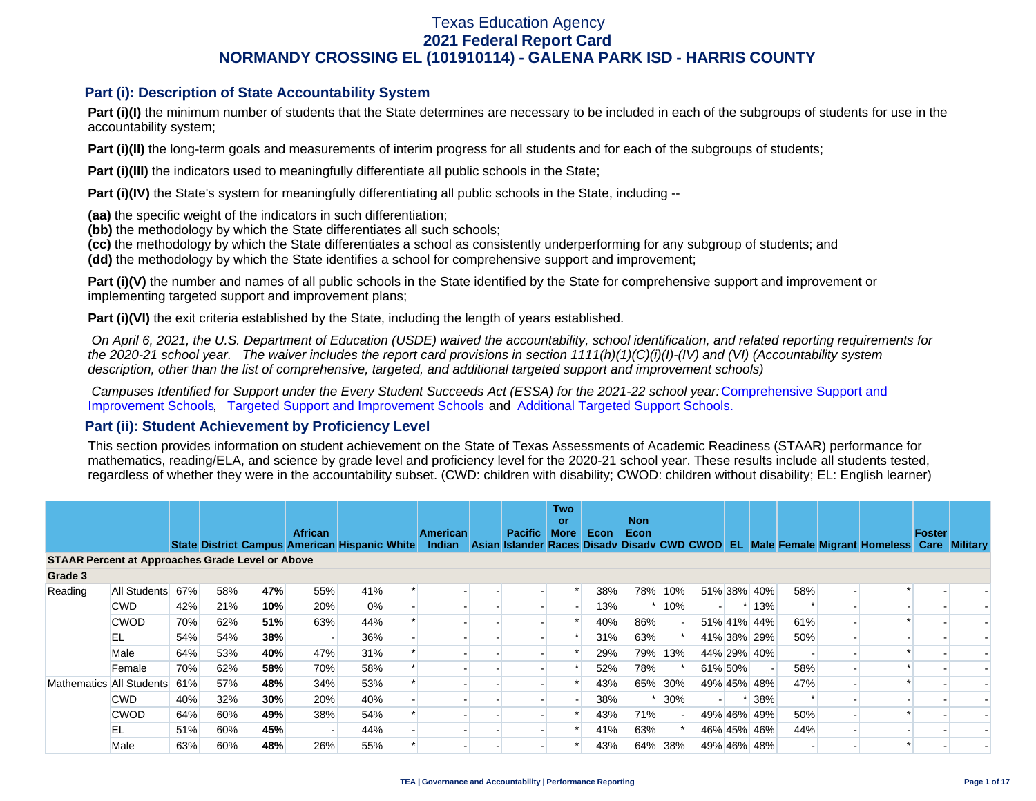### **Part (i): Description of State Accountability System**

**Part (i)(I)** the minimum number of students that the State determines are necessary to be included in each of the subgroups of students for use in the accountability system;

**Part (i)(II)** the long-term goals and measurements of interim progress for all students and for each of the subgroups of students;

**Part (i)(III)** the indicators used to meaningfully differentiate all public schools in the State;

**Part (i)(IV)** the State's system for meaningfully differentiating all public schools in the State, including --

**(aa)** the specific weight of the indicators in such differentiation;

**(bb)** the methodology by which the State differentiates all such schools;

**(cc)** the methodology by which the State differentiates a school as consistently underperforming for any subgroup of students; and

**(dd)** the methodology by which the State identifies a school for comprehensive support and improvement;

**Part (i)(V)** the number and names of all public schools in the State identified by the State for comprehensive support and improvement or implementing targeted support and improvement plans;

**Part (i)(VI)** the exit criteria established by the State, including the length of years established.

 *On April 6, 2021, the U.S. Department of Education (USDE) waived the accountability, school identification, and related reporting requirements for the 2020-21 school year. The waiver includes the report card provisions in section 1111(h)(1)(C)(i)(I)-(IV) and (VI) (Accountability system description, other than the list of comprehensive, targeted, and additional targeted support and improvement schools)* 

*Campuses Identified for Support under the Every Student Succeeds Act (ESSA) for the 2021-22 school year:* [Comprehensive Support and](https://tea.texas.gov/sites/default/files/comprehensive_support_2021.xlsx) [Improvement Schools](https://tea.texas.gov/sites/default/files/comprehensive_support_2021.xlsx), [Targeted Support and Improvement Schools](https://tea.texas.gov/sites/default/files/targeted_support_2021.xlsx) and [Additional Targeted Support Schools.](https://tea.texas.gov/sites/default/files/additional_targeted_support_2021.xlsx)

### **Part (ii): Student Achievement by Proficiency Level**

This section provides information on student achievement on the State of Texas Assessments of Academic Readiness (STAAR) performance for mathematics, reading/ELA, and science by grade level and proficiency level for the 2020-21 school year. These results include all students tested, regardless of whether they were in the accountability subset. (CWD: children with disability; CWOD: children without disability; EL: English learner)

|                                                         |              |     |     |     | <b>African</b> |                                                      | American | <b>Pacific</b> | <b>Two</b><br><b>or</b><br><b>More</b> | <b>Econ</b> | <b>Non</b><br>Econ |         |         |             |     |                                                                                           | Foster |  |
|---------------------------------------------------------|--------------|-----|-----|-----|----------------|------------------------------------------------------|----------|----------------|----------------------------------------|-------------|--------------------|---------|---------|-------------|-----|-------------------------------------------------------------------------------------------|--------|--|
|                                                         |              |     |     |     |                | <b>State District Campus American Hispanic White</b> | Indian   |                |                                        |             |                    |         |         |             |     | Asian Islander Races Disady Disady CWD CWOD EL Male Female Migrant Homeless Care Military |        |  |
| <b>STAAR Percent at Approaches Grade Level or Above</b> |              |     |     |     |                |                                                      |          |                |                                        |             |                    |         |         |             |     |                                                                                           |        |  |
| Grade 3                                                 |              |     |     |     |                |                                                      |          |                |                                        |             |                    |         |         |             |     |                                                                                           |        |  |
| Reading                                                 | All Students | 67% | 58% | 47% | 55%            | 41%                                                  |          |                |                                        | 38%         | 78%                | 10%     |         | 51% 38% 40% | 58% |                                                                                           |        |  |
|                                                         | <b>CWD</b>   | 42% | 21% | 10% | 20%            | $0\%$                                                |          |                |                                        | 13%         |                    | 10%     |         | $*13%$      |     |                                                                                           |        |  |
|                                                         | <b>CWOD</b>  | 70% | 62% | 51% | 63%            | 44%                                                  |          |                |                                        | 40%         | 86%                |         |         | 51% 41% 44% | 61% |                                                                                           |        |  |
|                                                         | EL           | 54% | 54% | 38% |                | 36%                                                  |          |                |                                        | 31%         | 63%                |         |         | 41% 38% 29% | 50% |                                                                                           |        |  |
|                                                         | Male         | 64% | 53% | 40% | 47%            | 31%                                                  |          |                |                                        | 29%         |                    | 79% 13% |         | 44% 29% 40% |     |                                                                                           |        |  |
|                                                         | Female       | 70% | 62% | 58% | 70%            | 58%                                                  |          |                |                                        | 52%         | 78%                |         | 61% 50% |             | 58% |                                                                                           |        |  |
| Mathematics All Students                                |              | 61% | 57% | 48% | 34%            | 53%                                                  |          |                |                                        | 43%         | 65%                | 30%     |         | 49% 45% 48% | 47% |                                                                                           |        |  |
|                                                         | <b>CWD</b>   | 40% | 32% | 30% | 20%            | 40%                                                  |          |                |                                        | 38%         |                    | 30%     |         | * 38%       | ∗   |                                                                                           |        |  |
|                                                         | <b>CWOD</b>  | 64% | 60% | 49% | 38%            | 54%                                                  |          |                |                                        | 43%         | 71%                |         |         | 49% 46% 49% | 50% |                                                                                           |        |  |
|                                                         | EL           | 51% | 60% | 45% |                | 44%                                                  |          |                |                                        | 41%         | 63%                |         |         | 46% 45% 46% | 44% |                                                                                           |        |  |
|                                                         | Male         | 63% | 60% | 48% | 26%            | 55%                                                  |          |                |                                        | 43%         | 64%                | 38%     |         | 49% 46% 48% |     |                                                                                           |        |  |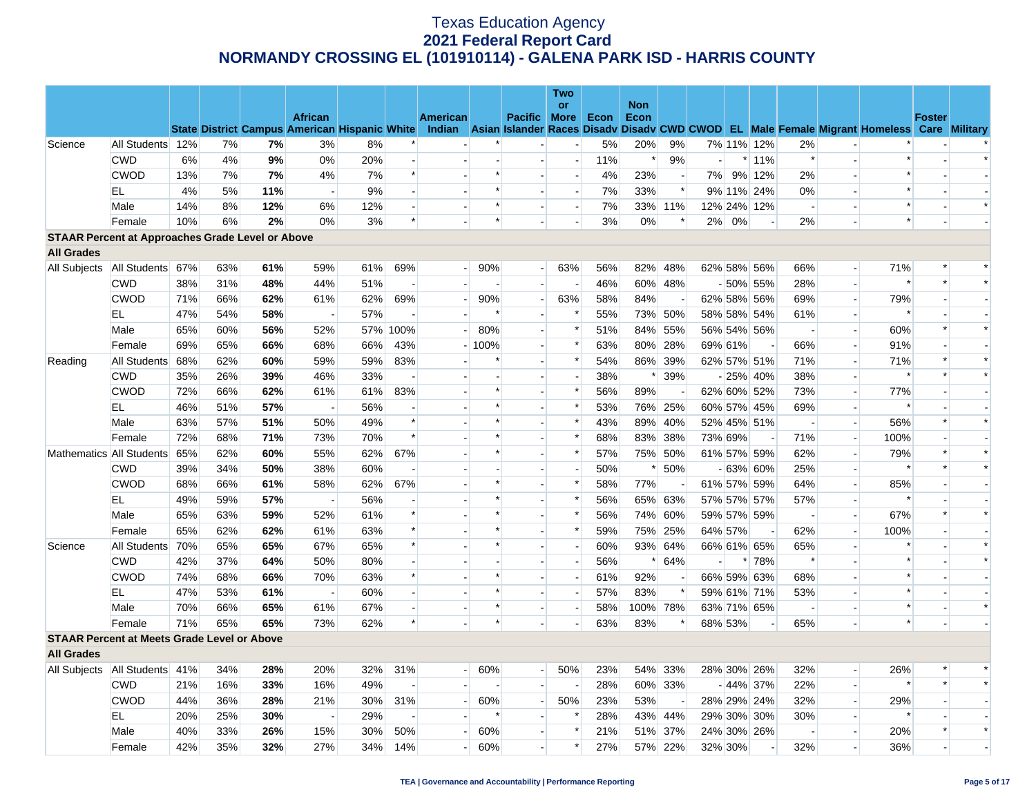|                                                         |                                   |     |     |     |                          |     |          |                 |            |                          | <b>Two</b>               |      |            |                          |         |         |                          |                          |                          |                                                                                                                                                |               |        |
|---------------------------------------------------------|-----------------------------------|-----|-----|-----|--------------------------|-----|----------|-----------------|------------|--------------------------|--------------------------|------|------------|--------------------------|---------|---------|--------------------------|--------------------------|--------------------------|------------------------------------------------------------------------------------------------------------------------------------------------|---------------|--------|
|                                                         |                                   |     |     |     | <b>African</b>           |     |          | <b>American</b> |            | Pacific More             | <b>or</b>                |      | <b>Non</b> |                          |         |         |                          |                          |                          |                                                                                                                                                | <b>Foster</b> |        |
|                                                         |                                   |     |     |     |                          |     |          |                 |            |                          |                          | Econ | Econ       |                          |         |         |                          |                          |                          | State District Campus American Hispanic White Indian Asian Islander Races Disadv Disadv CWD CWOD EL Male Female Migrant Homeless Care Military |               |        |
| Science                                                 | All Students 12%                  |     | 7%  | 7%  | 3%                       | 8%  |          |                 |            |                          |                          | 5%   | 20%        | 9%                       |         |         | 7% 11% 12%               | 2%                       |                          |                                                                                                                                                |               |        |
|                                                         | <b>CWD</b>                        | 6%  | 4%  | 9%  | 0%                       | 20% |          |                 |            | $\overline{a}$           | $\overline{a}$           | 11%  | $\ast$     | 9%                       | н.      |         | $*11%$                   | $\ast$                   |                          | $\ast$                                                                                                                                         |               |        |
|                                                         | <b>CWOD</b>                       | 13% | 7%  | 7%  | 4%                       | 7%  |          |                 | *          | $\blacksquare$           | $\blacksquare$           | 4%   | 23%        | $\overline{\phantom{a}}$ |         |         | 7% 9% 12%                | 2%                       |                          | $\ast$                                                                                                                                         |               |        |
|                                                         | EL                                | 4%  | 5%  | 11% | $\sim$                   | 9%  |          |                 | $\ast$     | $\overline{a}$           | $\overline{a}$           | 7%   | 33%        | $\ast$                   |         |         | 9% 11% 24%               | 0%                       |                          | $\ast$                                                                                                                                         |               |        |
|                                                         | Male                              | 14% | 8%  | 12% | 6%                       | 12% |          |                 | *          |                          | $\overline{a}$           | 7%   |            | 33% 11%                  |         |         | 12% 24% 12%              | $\sim$                   |                          | $\ast$                                                                                                                                         |               | $\ast$ |
|                                                         | Female                            | 10% | 6%  | 2%  | 0%                       | 3%  | $\ast$   |                 | $\ast$     |                          |                          | 3%   | 0%         | $\ast$                   |         | 2% 0%   |                          | 2%                       |                          | $\ast$                                                                                                                                         |               |        |
| <b>STAAR Percent at Approaches Grade Level or Above</b> |                                   |     |     |     |                          |     |          |                 |            |                          |                          |      |            |                          |         |         |                          |                          |                          |                                                                                                                                                |               |        |
| <b>All Grades</b>                                       |                                   |     |     |     |                          |     |          |                 |            |                          |                          |      |            |                          |         |         |                          |                          |                          |                                                                                                                                                |               |        |
| All Subjects                                            | All Students 67%                  |     | 63% | 61% | 59%                      | 61% | 69%      |                 | 90%<br>٠١. | $\overline{\phantom{a}}$ | 63%                      | 56%  |            | 82% 48%                  |         |         | 62% 58% 56%              | 66%                      |                          | 71%                                                                                                                                            |               |        |
|                                                         | <b>CWD</b>                        | 38% | 31% | 48% | 44%                      | 51% |          |                 |            |                          |                          | 46%  |            | 60% 48%                  |         |         | $-50\%$ 55%              | 28%                      | $\blacksquare$           | $\ast$                                                                                                                                         | $\ast$        |        |
|                                                         | <b>CWOD</b>                       | 71% | 66% | 62% | 61%                      | 62% | 69%      |                 | 90%        | $\overline{\phantom{a}}$ | 63%                      | 58%  | 84%        | $\overline{a}$           |         |         | 62% 58% 56%              | 69%                      | $\overline{a}$           | 79%                                                                                                                                            |               |        |
|                                                         | EL                                | 47% | 54% | 58% | $\overline{\phantom{a}}$ | 57% |          |                 | $\ast$     |                          | $\ast$                   | 55%  |            | 73% 50%                  |         |         | 58% 58% 54%              | 61%                      |                          | $\ast$                                                                                                                                         |               |        |
|                                                         | Male                              | 65% | 60% | 56% | 52%                      |     | 57% 100% |                 | 80%        | $\sim$                   | $\ast$                   | 51%  |            | 84% 55%                  |         |         | 56% 54% 56%              | $\sim$                   |                          | 60%                                                                                                                                            | $\ast$        | $\ast$ |
|                                                         | Female                            | 69% | 65% | 66% | 68%                      | 66% | 43%      |                 | $-100%$    |                          | $\ast$                   | 63%  |            | 80% 28%                  |         | 69% 61% |                          | 66%                      |                          | 91%                                                                                                                                            |               |        |
| Reading                                                 | All Students                      | 68% | 62% | 60% | 59%                      | 59% | 83%      |                 |            | $\blacksquare$           | $\ast$                   | 54%  |            | 86% 39%                  |         |         | 62% 57% 51%              | 71%                      |                          | 71%                                                                                                                                            | $\ast$        | $\ast$ |
|                                                         | <b>CWD</b>                        | 35% | 26% | 39% | 46%                      | 33% |          |                 |            |                          |                          | 38%  |            | $* 39%$                  |         |         | $-25\%$ 40%              | 38%                      |                          | $\ast$                                                                                                                                         | $\ast$        | $\ast$ |
|                                                         | <b>CWOD</b>                       | 72% | 66% | 62% | 61%                      | 61% | 83%      |                 |            | $\blacksquare$           | $\ast$                   | 56%  | 89%        |                          |         |         | 62% 60% 52%              | 73%                      | $\blacksquare$           | 77%                                                                                                                                            |               |        |
|                                                         | EL                                | 46% | 51% | 57% | $\sim$                   | 56% |          |                 | $\ast$     | $\mathbf{r}$             | $\ast$                   | 53%  |            | 76% 25%                  |         |         | 60% 57% 45%              | 69%                      |                          | $\ast$                                                                                                                                         |               |        |
|                                                         | Male                              | 63% | 57% | 51% | 50%                      | 49% | $\ast$   |                 | $\ast$     | $\overline{a}$           | $\ast$                   | 43%  |            | 89% 40%                  |         |         | 52% 45% 51%              | $\overline{\phantom{a}}$ |                          | 56%                                                                                                                                            | $\ast$        | $\ast$ |
|                                                         | Female                            | 72% | 68% | 71% | 73%                      | 70% | $\ast$   |                 | $\ast$     | $\overline{a}$           | $\ast$                   | 68%  |            | 83% 38%                  |         | 73% 69% |                          | 71%                      | $\overline{a}$           | 100%                                                                                                                                           |               |        |
|                                                         | Mathematics All Students          | 65% | 62% | 60% | 55%                      | 62% | 67%      |                 | $\ast$     | $\overline{a}$           | $\ast$                   | 57%  |            | 75% 50%                  |         |         | 61% 57% 59%              | 62%                      |                          | 79%                                                                                                                                            | $\ast$        | $\ast$ |
|                                                         | <b>CWD</b>                        | 39% | 34% | 50% | 38%                      | 60% |          |                 |            | $\overline{a}$           | $\overline{a}$           | 50%  | $\ast$     | 50%                      |         |         | $-63\%$ 60%              | 25%                      |                          | $\ast$                                                                                                                                         | $\ast$        | $\ast$ |
|                                                         | CWOD                              | 68% | 66% | 61% | 58%                      | 62% | 67%      |                 | $\ast$     |                          | $\ast$                   | 58%  | 77%        |                          |         |         | 61% 57% 59%              | 64%                      |                          | 85%                                                                                                                                            |               |        |
|                                                         | EL                                | 49% | 59% | 57% | $\overline{\phantom{a}}$ | 56% |          |                 | $\ast$     | $\blacksquare$           | $\ast$                   | 56%  |            | 65% 63%                  |         |         | 57% 57% 57%              | 57%                      | $\overline{\phantom{a}}$ |                                                                                                                                                |               |        |
|                                                         | Male                              | 65% | 63% | 59% | 52%                      | 61% | $\ast$   |                 | $\ast$     | $\overline{a}$           | $\ast$                   | 56%  |            | 74% 60%                  |         |         | 59% 57% 59%              | $\overline{\phantom{a}}$ |                          | 67%                                                                                                                                            | $\ast$        | $\ast$ |
|                                                         | Female                            | 65% | 62% | 62% | 61%                      | 63% |          |                 |            | $\blacksquare$           | $\ast$                   | 59%  | 75%        | 25%                      |         | 64% 57% | $\overline{\phantom{a}}$ | 62%                      |                          | 100%                                                                                                                                           |               |        |
| Science                                                 | All Students 70%                  |     | 65% | 65% | 67%                      | 65% | $\ast$   |                 | $\ast$     | $\overline{a}$           | $\overline{a}$           | 60%  |            | 93% 64%                  |         |         | 66% 61% 65%              | 65%                      | $\overline{a}$           | $\ast$                                                                                                                                         |               | $\ast$ |
|                                                         | <b>CWD</b>                        | 42% | 37% | 64% | 50%                      | 80% |          |                 |            | $\blacksquare$           | $\overline{\phantom{a}}$ | 56%  | $\ast$     | 64%                      |         |         | * 78%                    | $\ast$                   |                          | $\ast$                                                                                                                                         |               | $\ast$ |
|                                                         | <b>CWOD</b>                       | 74% | 68% | 66% | 70%                      | 63% | $\ast$   |                 | $\ast$     | $\overline{a}$           | $\overline{a}$           | 61%  | 92%        | $\overline{\phantom{a}}$ |         |         | 66% 59% 63%              | 68%                      |                          | $\ast$                                                                                                                                         |               |        |
|                                                         | <b>EL</b>                         | 47% | 53% | 61% | $\sim$                   | 60% |          |                 | $\ast$     |                          | $\blacksquare$           | 57%  | 83%        | $\ast$                   |         |         | 59% 61% 71%              | 53%                      |                          | $\ast$                                                                                                                                         |               |        |
|                                                         | Male                              | 70% | 66% | 65% | 61%                      | 67% |          |                 | $\ast$     | $\overline{a}$           |                          | 58%  |            | 100% 78%                 |         |         | 63% 71% 65%              | $\sim$                   |                          | $\ast$                                                                                                                                         |               | $\ast$ |
|                                                         | Female                            | 71% | 65% | 65% | 73%                      | 62% | $\ast$   |                 | $\ast$     |                          | $\overline{\phantom{a}}$ | 63%  | 83%        | $\ast$                   |         | 68% 53% |                          | 65%                      |                          | $\ast$                                                                                                                                         |               |        |
| <b>STAAR Percent at Meets Grade Level or Above</b>      |                                   |     |     |     |                          |     |          |                 |            |                          |                          |      |            |                          |         |         |                          |                          |                          |                                                                                                                                                |               |        |
| <b>All Grades</b>                                       |                                   |     |     |     |                          |     |          |                 |            |                          |                          |      |            |                          |         |         |                          |                          |                          |                                                                                                                                                |               |        |
|                                                         | All Subjects   All Students   41% |     | 34% | 28% | 20%                      | 32% | 31%      | $\blacksquare$  | 60%        | $\overline{a}$           | 50%                      | 23%  |            | 54% 33%                  |         |         | 28% 30% 26%              | 32%                      | $\overline{a}$           | 26%                                                                                                                                            |               |        |
|                                                         | <b>CWD</b>                        | 21% | 16% | 33% | 16%                      | 49% |          |                 |            | $\overline{a}$           | $\overline{\phantom{a}}$ | 28%  |            | 60% 33%                  |         |         | $-44\%$ 37%              | 22%                      |                          | $\ast$                                                                                                                                         | $\ast$        | $\ast$ |
|                                                         | <b>CWOD</b>                       | 44% | 36% | 28% | 21%                      | 30% | 31%      |                 | 60%        | $\overline{\phantom{a}}$ | 50%                      | 23%  | 53%        |                          |         |         | 28% 29% 24%              | 32%                      |                          | 29%                                                                                                                                            |               |        |
|                                                         | EL                                | 20% | 25% | 30% | $\sim$                   | 29% |          |                 | $\ast$     | $\blacksquare$           | $\ast$                   | 28%  |            | 43% 44%                  |         |         | 29% 30% 30%              | 30%                      |                          | $\ast$                                                                                                                                         |               |        |
|                                                         | Male                              | 40% | 33% | 26% | 15%                      | 30% | 50%      |                 | 60%        |                          | $\ast$                   | 21%  |            | 51% 37%                  |         |         | 24% 30% 26%              |                          |                          | 20%                                                                                                                                            | $\ast$        | $\ast$ |
|                                                         | Female                            | 42% | 35% | 32% | 27%                      | 34% | 14%      |                 | 60%        |                          | $\ast$                   | 27%  |            | 57% 22%                  | 32% 30% |         |                          | 32%                      |                          | 36%                                                                                                                                            |               |        |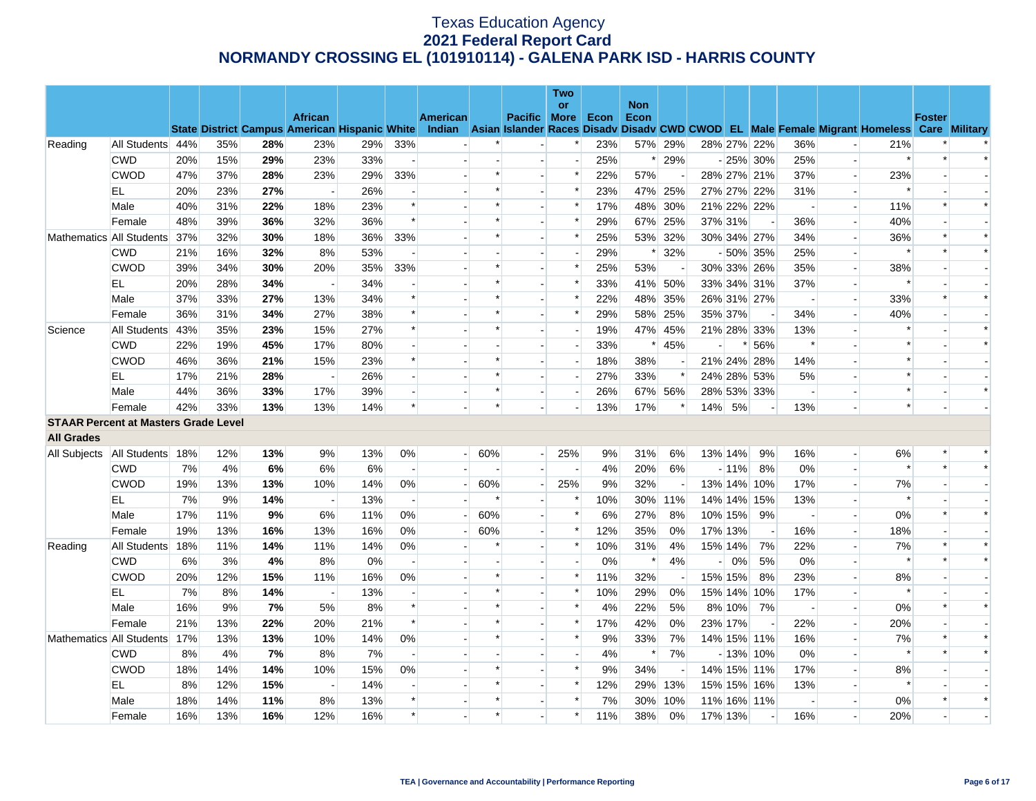|                                             |                          |     |     |     |                                                      |       |                          |                 |         |                          | Two                      |      |                    |         |      |         |             |                          |                          |                                                                                                  |        |        |
|---------------------------------------------|--------------------------|-----|-----|-----|------------------------------------------------------|-------|--------------------------|-----------------|---------|--------------------------|--------------------------|------|--------------------|---------|------|---------|-------------|--------------------------|--------------------------|--------------------------------------------------------------------------------------------------|--------|--------|
|                                             |                          |     |     |     | <b>African</b>                                       |       |                          | <b>American</b> |         | <b>Pacific More</b>      | <b>or</b>                | Econ | <b>Non</b><br>Econ |         |      |         |             |                          |                          |                                                                                                  | Foster |        |
|                                             |                          |     |     |     | <b>State District Campus American Hispanic White</b> |       |                          |                 |         |                          |                          |      |                    |         |      |         |             |                          |                          | Indian Asian Islander Races Disady Disady CWD CWOD EL Male Female Migrant Homeless Care Military |        |        |
| Reading                                     | All Students 44%         |     | 35% | 28% | 23%                                                  | 29%   | 33%                      |                 |         |                          | $\ast$                   | 23%  |                    | 57% 29% |      |         | 28% 27% 22% | 36%                      |                          | 21%                                                                                              |        |        |
|                                             | <b>CWD</b>               | 20% | 15% | 29% | 23%                                                  | 33%   | $\sim$                   |                 |         | $\blacksquare$           | $\overline{\phantom{a}}$ | 25%  | $\ast$             | 29%     |      |         | $-25\%$ 30% | 25%                      | $\overline{\phantom{a}}$ | $\ast$                                                                                           | $\ast$ | $\ast$ |
|                                             | <b>CWOD</b>              | 47% | 37% | 28% | 23%                                                  | 29%   | 33%                      |                 | $\ast$  |                          | $\ast$                   | 22%  | 57%                |         |      |         | 28% 27% 21% | 37%                      |                          | 23%                                                                                              |        |        |
|                                             | EL                       | 20% | 23% | 27% | $\overline{a}$                                       | 26%   | $\overline{\phantom{a}}$ |                 | $\ast$  | $\overline{a}$           | $\ast$                   | 23%  |                    | 47% 25% |      |         | 27% 27% 22% | 31%                      | $\blacksquare$           | $\ast$                                                                                           |        |        |
|                                             | Male                     | 40% | 31% | 22% | 18%                                                  | 23%   | $\ast$                   |                 | $\ast$  |                          | $\ast$                   | 17%  | 48%                | 30%     |      |         | 21% 22% 22% |                          | $\overline{a}$           | 11%                                                                                              | $\ast$ | $\ast$ |
|                                             | Female                   | 48% | 39% | 36% | 32%                                                  | 36%   | $\ast$                   |                 | $\ast$  | $\overline{a}$           | $\ast$                   | 29%  | 67%                | 25%     |      | 37% 31% |             | 36%                      | $\overline{\phantom{a}}$ | 40%                                                                                              |        |        |
|                                             | Mathematics All Students | 37% | 32% | 30% | 18%                                                  | 36%   | 33%                      |                 |         |                          | $\ast$                   | 25%  | 53%                | 32%     |      |         | 30% 34% 27% | 34%                      |                          | 36%                                                                                              |        | $\ast$ |
|                                             | <b>CWD</b>               | 21% | 16% | 32% | 8%                                                   | 53%   |                          |                 |         |                          |                          | 29%  |                    | 32%     |      |         | $-50\%$ 35% | 25%                      |                          |                                                                                                  |        | $\ast$ |
|                                             | <b>CWOD</b>              | 39% | 34% | 30% | 20%                                                  | 35%   | 33%                      |                 | $\ast$  | $\overline{\phantom{a}}$ | ∗                        | 25%  | 53%                |         |      |         | 30% 33% 26% | 35%                      | $\overline{\phantom{a}}$ | 38%                                                                                              |        |        |
|                                             | EL                       | 20% | 28% | 34% |                                                      | 34%   |                          |                 | $\ast$  |                          | $\ast$                   | 33%  |                    | 41% 50% |      |         | 33% 34% 31% | 37%                      |                          | $\ast$                                                                                           |        |        |
|                                             | Male                     | 37% | 33% | 27% | 13%                                                  | 34%   | $\ast$                   |                 | $\ast$  | $\overline{a}$           | $\ast$                   | 22%  | 48%                | 35%     |      |         | 26% 31% 27% | $\sim$                   | $\overline{\phantom{a}}$ | 33%                                                                                              | $\ast$ | $\ast$ |
|                                             | Female                   | 36% | 31% | 34% | 27%                                                  | 38%   | $\ast$                   |                 |         | $\blacksquare$           | $\ast$                   | 29%  | 58%                | 25%     |      | 35% 37% |             | 34%                      | $\overline{\phantom{a}}$ | 40%                                                                                              |        |        |
| Science                                     | All Students             | 43% | 35% | 23% | 15%                                                  | 27%   | $\ast$                   |                 | $\ast$  |                          | $\overline{a}$           | 19%  | 47%                | 45%     |      |         | 21% 28% 33% | 13%                      |                          |                                                                                                  |        |        |
|                                             | <b>CWD</b>               | 22% | 19% | 45% | 17%                                                  | 80%   |                          |                 |         | $\overline{\phantom{a}}$ | $\overline{\phantom{a}}$ | 33%  | $\ast$             | 45%     |      |         | $*156%$     | $\ast$                   |                          |                                                                                                  |        | $\ast$ |
|                                             | <b>CWOD</b>              | 46% | 36% | 21% | 15%                                                  | 23%   | $\ast$                   |                 | $\ast$  |                          | $\overline{\phantom{a}}$ | 18%  | 38%                |         |      |         | 21% 24% 28% | 14%                      |                          |                                                                                                  |        |        |
|                                             | EL                       | 17% | 21% | 28% | $\sim$                                               | 26%   | $\overline{a}$           |                 | $\ast$  | $\overline{a}$           | $\overline{a}$           | 27%  | 33%                | $\ast$  |      |         | 24% 28% 53% | 5%                       |                          | $\ast$                                                                                           |        |        |
|                                             | Male                     | 44% | 36% | 33% | 17%                                                  | 39%   | $\overline{\phantom{a}}$ |                 | $\ast$  | $\blacksquare$           | $\overline{\phantom{a}}$ | 26%  |                    | 67% 56% |      |         | 28% 53% 33% | $\overline{\phantom{a}}$ |                          |                                                                                                  |        | $\ast$ |
|                                             | Female                   | 42% | 33% | 13% | 13%                                                  | 14%   | $\ast$                   |                 | $\ast$  |                          |                          | 13%  | 17%                | $\ast$  |      | 14% 5%  |             | 13%                      |                          |                                                                                                  |        |        |
| <b>STAAR Percent at Masters Grade Level</b> |                          |     |     |     |                                                      |       |                          |                 |         |                          |                          |      |                    |         |      |         |             |                          |                          |                                                                                                  |        |        |
| <b>All Grades</b>                           |                          |     |     |     |                                                      |       |                          |                 |         |                          |                          |      |                    |         |      |         |             |                          |                          |                                                                                                  |        |        |
| All Subjects   All Students   18%           |                          |     | 12% | 13% | 9%                                                   | 13%   | 0%                       | $\overline{a}$  | 60%     | $\overline{\phantom{0}}$ | 25%                      | 9%   | 31%                | 6%      |      | 13% 14% | 9%          | 16%                      | $\overline{\phantom{a}}$ | 6%                                                                                               |        | $\ast$ |
|                                             | <b>CWD</b>               | 7%  | 4%  | 6%  | 6%                                                   | 6%    | $\overline{\phantom{a}}$ |                 |         |                          | $\overline{\phantom{a}}$ | 4%   | 20%                | 6%      |      | $-11%$  | 8%          | 0%                       |                          |                                                                                                  |        |        |
|                                             | <b>CWOD</b>              | 19% | 13% | 13% | 10%                                                  | 14%   | 0%                       |                 | 60%     |                          | 25%                      | 9%   | 32%                |         |      |         | 13% 14% 10% | 17%                      |                          | 7%                                                                                               |        |        |
|                                             | EL                       | 7%  | 9%  | 14% | $\overline{\phantom{a}}$                             | 13%   | $\overline{\phantom{a}}$ |                 | ∗       | $\blacksquare$           | $\ast$                   | 10%  | 30%                | 11%     |      |         | 14% 14% 15% | 13%                      | $\overline{\phantom{a}}$ | ∗                                                                                                |        |        |
|                                             | Male                     | 17% | 11% | 9%  | 6%                                                   | 11%   | 0%                       |                 | 60%     |                          | $\ast$                   | 6%   | 27%                | 8%      |      | 10% 15% | 9%          |                          |                          | 0%                                                                                               | $\ast$ | $\ast$ |
|                                             | Female                   | 19% | 13% | 16% | 13%                                                  | 16%   | 0%                       |                 | 60%     |                          | $\ast$                   | 12%  | 35%                | 0%      |      | 17% 13% |             | 16%                      | $\overline{\phantom{a}}$ | 18%                                                                                              |        |        |
| Reading                                     | All Students             | 18% | 11% | 14% | 11%                                                  | 14%   | 0%                       |                 |         |                          | $\ast$                   | 10%  | 31%                | 4%      |      | 15% 14% | 7%          | 22%                      | $\overline{\phantom{a}}$ | 7%                                                                                               |        |        |
|                                             | <b>CWD</b>               | 6%  | 3%  | 4%  | 8%                                                   | $0\%$ | $\overline{\phantom{a}}$ |                 |         |                          |                          | 0%   | $\ast$             | 4%      | $-1$ | 0%      | 5%          | 0%                       |                          | $\ast$                                                                                           |        | $\ast$ |
|                                             | <b>CWOD</b>              | 20% | 12% | 15% | 11%                                                  | 16%   | 0%                       |                 | $\ast$  | $\overline{a}$           | $\ast$                   | 11%  | 32%                |         |      | 15% 15% | 8%          | 23%                      | $\overline{a}$           | 8%                                                                                               |        |        |
|                                             | EL                       | 7%  | 8%  | 14% |                                                      | 13%   | $\overline{\phantom{a}}$ |                 | $\star$ |                          | $\ast$                   | 10%  | 29%                | 0%      |      |         | 15% 14% 10% | 17%                      |                          | $\ast$                                                                                           |        |        |
|                                             | Male                     | 16% | 9%  | 7%  | 5%                                                   | 8%    | $\ast$                   |                 | $\ast$  |                          | $\ast$                   | 4%   | 22%                | 5%      |      | 8% 10%  | 7%          | $\overline{\phantom{a}}$ | $\overline{a}$           | 0%                                                                                               | $\ast$ | $\ast$ |
|                                             | Female                   | 21% | 13% | 22% | 20%                                                  | 21%   | $\ast$                   |                 |         | $\blacksquare$           | $\ast$                   | 17%  | 42%                | $0\%$   |      | 23% 17% |             | 22%                      | $\overline{\phantom{a}}$ | 20%                                                                                              |        |        |
|                                             | Mathematics All Students | 17% | 13% | 13% | 10%                                                  | 14%   | 0%                       |                 | $\ast$  |                          | $\ast$                   | 9%   | 33%                | 7%      |      |         | 14% 15% 11% | 16%                      |                          | 7%                                                                                               |        | $\ast$ |
|                                             | <b>CWD</b>               | 8%  | 4%  | 7%  | 8%                                                   | 7%    | $\overline{\phantom{a}}$ |                 |         |                          | $\overline{a}$           | 4%   | $\ast$             | 7%      |      |         | $-13\%$ 10% | 0%                       | $\overline{a}$           | $\ast$                                                                                           | $\ast$ | $\ast$ |
|                                             | <b>CWOD</b>              | 18% | 14% | 14% | 10%                                                  | 15%   | 0%                       |                 | $\ast$  |                          | $\ast$                   | 9%   | 34%                |         |      |         | 14% 15% 11% | 17%                      |                          | 8%                                                                                               |        |        |
|                                             | EL                       | 8%  | 12% | 15% | $\overline{\phantom{a}}$                             | 14%   | $\overline{\phantom{a}}$ |                 | $\ast$  |                          | $\ast$                   | 12%  | 29%                | 13%     |      |         | 15% 15% 16% | 13%                      |                          | $\ast$                                                                                           |        |        |
|                                             | Male                     | 18% | 14% | 11% | 8%                                                   | 13%   | $\ast$                   |                 | $\ast$  |                          | $\ast$                   | 7%   | 30%                | 10%     |      |         | 11% 16% 11% | $\overline{\phantom{a}}$ |                          | 0%                                                                                               |        | $\ast$ |
|                                             | Female                   | 16% | 13% | 16% | 12%                                                  | 16%   | $\ast$                   |                 | $\ast$  |                          | $\ast$                   | 11%  | 38%                | 0%      |      | 17% 13% |             | 16%                      |                          | 20%                                                                                              |        |        |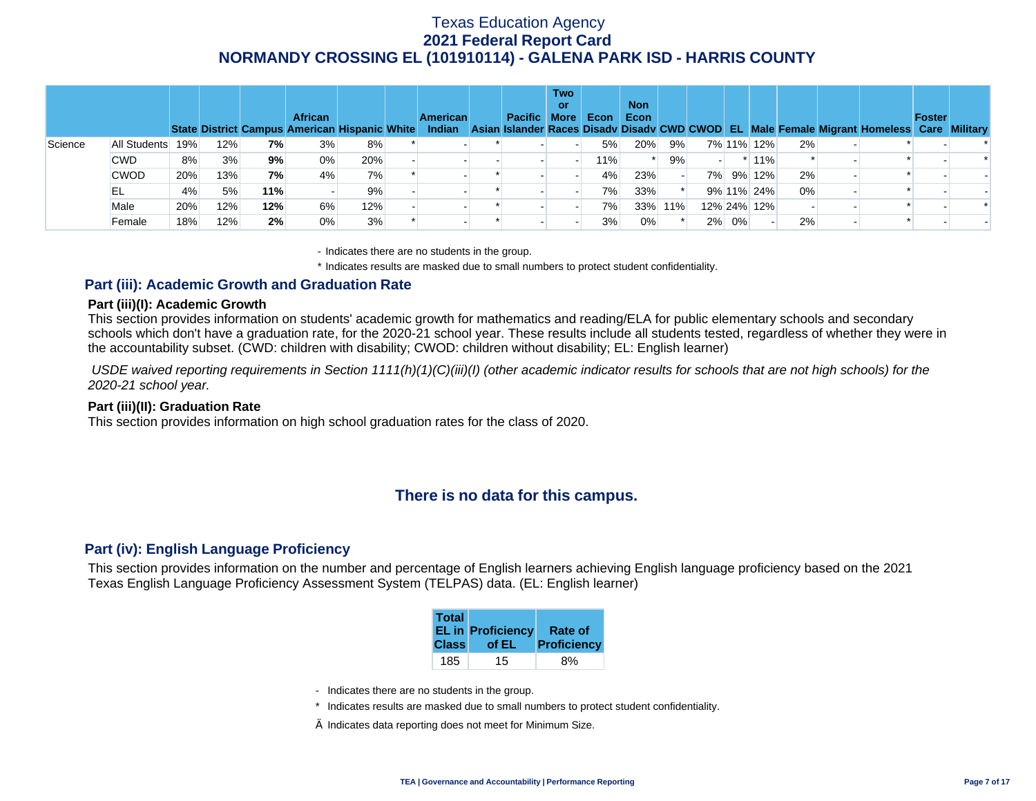|         |              |     |     |     | <b>African</b> | State District Campus American Hispanic White | <b>American</b><br><b>Indian</b> | <b>Pacific More</b> | <b>Two</b><br>or | Econ | <b>Non</b><br>Econ |     |       |             |    | Asian Islander Races Disady Disady CWD CWOD EL Male Female Migrant Homeless Care Military | <b>Foster</b> |  |
|---------|--------------|-----|-----|-----|----------------|-----------------------------------------------|----------------------------------|---------------------|------------------|------|--------------------|-----|-------|-------------|----|-------------------------------------------------------------------------------------------|---------------|--|
| Science | All Students | 19% | 12% | 7%  | 3%             | 8%                                            |                                  |                     |                  | 5%   | 20%                | 9%  |       | 7% 11% 12%  | 2% |                                                                                           |               |  |
|         | <b>CWD</b>   | 8%  | 3%  | 9%  | $0\%$          | 20%                                           |                                  |                     |                  | 11%  |                    | 9%  |       | $*11\%$     |    |                                                                                           |               |  |
|         | <b>CWOD</b>  | 20% | 13% | 7%  | 4%             | 7%                                            |                                  |                     |                  | 4%   | 23%                |     |       | 7% 9% 12%   | 2% |                                                                                           |               |  |
|         | EL           | 4%  | 5%  | 11% |                | 9%                                            |                                  |                     |                  | 7%   | 33%                |     |       | 9% 11% 24%  | 0% |                                                                                           |               |  |
|         | Male         | 20% | 12% | 12% | 6%             | 12%                                           |                                  |                     |                  | 7%   | 33%                | 11% |       | 12% 24% 12% |    |                                                                                           |               |  |
|         | Female       | 18% | 12% | 2%  | 0%             | 3%                                            |                                  |                     |                  | 3%   | 0%                 |     | 2% 0% |             | 2% |                                                                                           |               |  |

- Indicates there are no students in the group.

\* Indicates results are masked due to small numbers to protect student confidentiality.

### **Part (iii): Academic Growth and Graduation Rate**

#### **Part (iii)(I): Academic Growth**

This section provides information on students' academic growth for mathematics and reading/ELA for public elementary schools and secondary schools which don't have a graduation rate, for the 2020-21 school year. These results include all students tested, regardless of whether they were in the accountability subset. (CWD: children with disability; CWOD: children without disability; EL: English learner)

 *USDE waived reporting requirements in Section 1111(h)(1)(C)(iii)(I) (other academic indicator results for schools that are not high schools) for the 2020-21 school year.* 

#### **Part (iii)(II): Graduation Rate**

This section provides information on high school graduation rates for the class of 2020.

## **There is no data for this campus.**

#### **Part (iv): English Language Proficiency**

This section provides information on the number and percentage of English learners achieving English language proficiency based on the 2021 Texas English Language Proficiency Assessment System (TELPAS) data. (EL: English learner)

| <b>Total</b> | <b>EL in Proficiency</b> | Rate of            |
|--------------|--------------------------|--------------------|
| <b>Class</b> | of EL                    | <b>Proficiency</b> |
| 185          | 15                       |                    |

- Indicates there are no students in the group.
- \* Indicates results are masked due to small numbers to protect student confidentiality.
- $\diamond$  Indicates data reporting does not meet for Minimum Size.